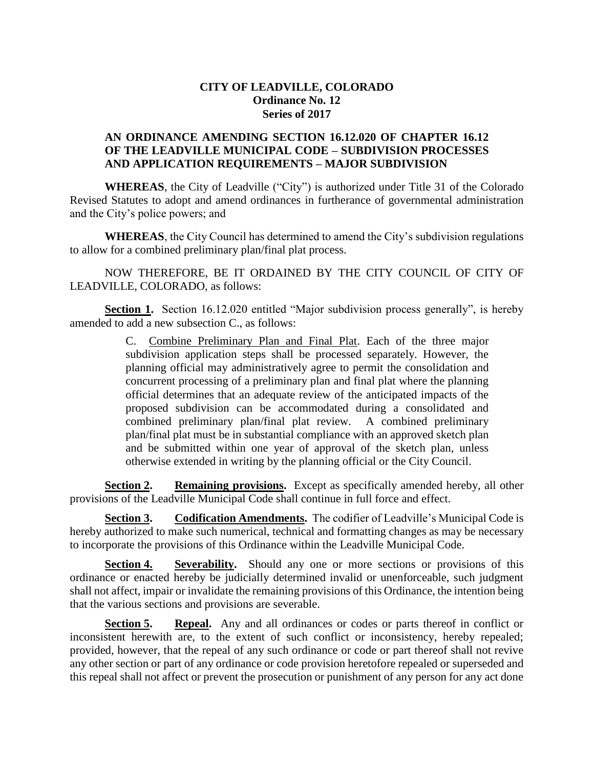## **CITY OF LEADVILLE, COLORADO Ordinance No. 12 Series of 2017**

## **AN ORDINANCE AMENDING SECTION 16.12.020 OF CHAPTER 16.12 OF THE LEADVILLE MUNICIPAL CODE – SUBDIVISION PROCESSES AND APPLICATION REQUIREMENTS – MAJOR SUBDIVISION**

**WHEREAS**, the City of Leadville ("City") is authorized under Title 31 of the Colorado Revised Statutes to adopt and amend ordinances in furtherance of governmental administration and the City's police powers; and

**WHEREAS**, the City Council has determined to amend the City's subdivision regulations to allow for a combined preliminary plan/final plat process.

NOW THEREFORE, BE IT ORDAINED BY THE CITY COUNCIL OF CITY OF LEADVILLE, COLORADO, as follows:

**Section 1.** Section 16.12.020 entitled "Major subdivision process generally", is hereby amended to add a new subsection C., as follows:

> C. Combine Preliminary Plan and Final Plat. Each of the three major subdivision application steps shall be processed separately. However, the planning official may administratively agree to permit the consolidation and concurrent processing of a preliminary plan and final plat where the planning official determines that an adequate review of the anticipated impacts of the proposed subdivision can be accommodated during a consolidated and combined preliminary plan/final plat review. A combined preliminary plan/final plat must be in substantial compliance with an approved sketch plan and be submitted within one year of approval of the sketch plan, unless otherwise extended in writing by the planning official or the City Council.

**Section 2. Remaining provisions.** Except as specifically amended hereby, all other provisions of the Leadville Municipal Code shall continue in full force and effect.

**Section 3. Codification Amendments.** The codifier of Leadville's Municipal Code is hereby authorized to make such numerical, technical and formatting changes as may be necessary to incorporate the provisions of this Ordinance within the Leadville Municipal Code.

**Section 4. Severability.** Should any one or more sections or provisions of this ordinance or enacted hereby be judicially determined invalid or unenforceable, such judgment shall not affect, impair or invalidate the remaining provisions of this Ordinance, the intention being that the various sections and provisions are severable.

**Section 5. Repeal.** Any and all ordinances or codes or parts thereof in conflict or inconsistent herewith are, to the extent of such conflict or inconsistency, hereby repealed; provided, however, that the repeal of any such ordinance or code or part thereof shall not revive any other section or part of any ordinance or code provision heretofore repealed or superseded and this repeal shall not affect or prevent the prosecution or punishment of any person for any act done